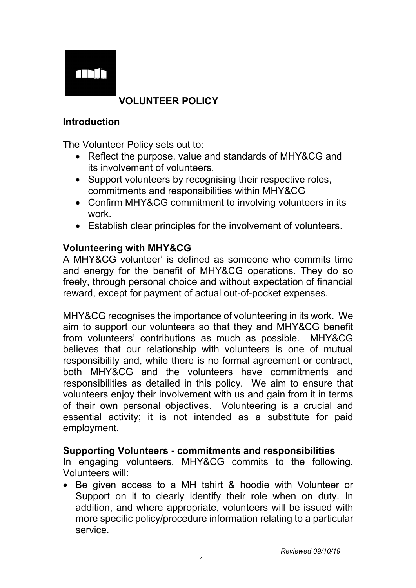

# **VOLUNTEER POLICY**

### **Introduction**

The Volunteer Policy sets out to:

- Reflect the purpose, value and standards of MHY&CG and its involvement of volunteers.
- Support volunteers by recognising their respective roles, commitments and responsibilities within MHY&CG
- Confirm MHY&CG commitment to involving volunteers in its work.
- Establish clear principles for the involvement of volunteers.

## **Volunteering with MHY&CG**

A MHY&CG volunteer' is defined as someone who commits time and energy for the benefit of MHY&CG operations. They do so freely, through personal choice and without expectation of financial reward, except for payment of actual out-of-pocket expenses.

MHY&CG recognises the importance of volunteering in its work. We aim to support our volunteers so that they and MHY&CG benefit from volunteers' contributions as much as possible. MHY&CG believes that our relationship with volunteers is one of mutual responsibility and, while there is no formal agreement or contract, both MHY&CG and the volunteers have commitments and responsibilities as detailed in this policy. We aim to ensure that volunteers enjoy their involvement with us and gain from it in terms of their own personal objectives. Volunteering is a crucial and essential activity; it is not intended as a substitute for paid employment.

#### **Supporting Volunteers - commitments and responsibilities**

In engaging volunteers, MHY&CG commits to the following. Volunteers will:

• Be given access to a MH tshirt & hoodie with Volunteer or Support on it to clearly identify their role when on duty. In addition, and where appropriate, volunteers will be issued with more specific policy/procedure information relating to a particular service.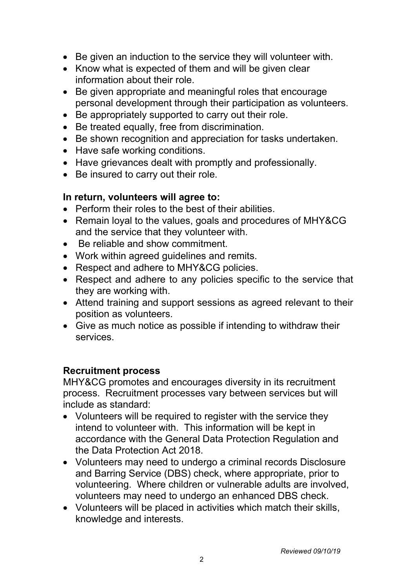- Be given an induction to the service they will volunteer with.
- Know what is expected of them and will be given clear information about their role.
- Be given appropriate and meaningful roles that encourage personal development through their participation as volunteers.
- Be appropriately supported to carry out their role.
- Be treated equally, free from discrimination.
- Be shown recognition and appreciation for tasks undertaken.
- Have safe working conditions.
- Have grievances dealt with promptly and professionally.
- Be insured to carry out their role.

## **In return, volunteers will agree to:**

- Perform their roles to the best of their abilities.
- Remain loyal to the values, goals and procedures of MHY&CG and the service that they volunteer with.
- Be reliable and show commitment.
- Work within agreed guidelines and remits.
- Respect and adhere to MHY&CG policies.
- Respect and adhere to any policies specific to the service that they are working with.
- Attend training and support sessions as agreed relevant to their position as volunteers.
- Give as much notice as possible if intending to withdraw their services.

## **Recruitment process**

MHY&CG promotes and encourages diversity in its recruitment process. Recruitment processes vary between services but will include as standard:

- Volunteers will be required to register with the service they intend to volunteer with. This information will be kept in accordance with the General Data Protection Regulation and the Data Protection Act 2018.
- Volunteers may need to undergo a criminal records Disclosure and Barring Service (DBS) check, where appropriate, prior to volunteering. Where children or vulnerable adults are involved, volunteers may need to undergo an enhanced DBS check.
- Volunteers will be placed in activities which match their skills, knowledge and interests.